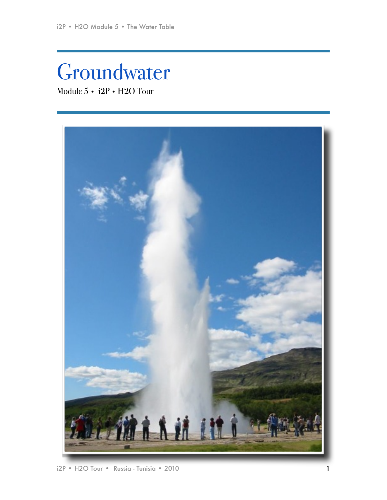# Groundwater Module 5 • i2P • H2O Tour

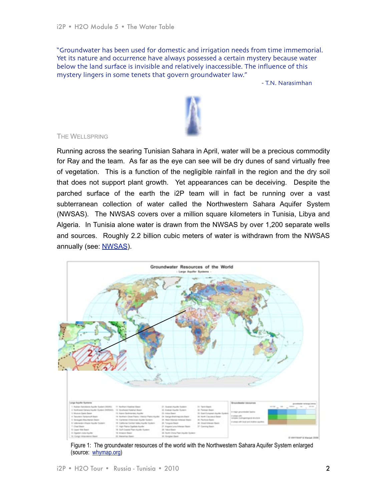"Groundwater has been used for domestic and irrigation needs from time immemorial. Yet its nature and occurrence have always possessed a certain mystery because water below the land surface is invisible and relatively inaccessible. The influence of this mystery lingers in some tenets that govern groundwater law."

- T.N. Narasimhan



#### THE WELLSPRING

Running across the searing Tunisian Sahara in April, water will be a precious commodity for Ray and the team. As far as the eye can see will be dry dunes of sand virtually free of vegetation. This is a function of the negligible rainfall in the region and the dry soil that does not support plant growth. Yet appearances can be deceiving. Despite the parched surface of the earth the i2P team will in fact be running over a vast subterranean collection of water called the Northwestern Sahara Aquifer System (NWSAS). The NWSAS covers over a million square kilometers in Tunisia, Libya and Algeria. In Tunisia alone water is drawn from the NWSAS by over 1,200 separate wells and sources. Roughly 2.2 billion cubic meters of water is withdrawn from the NWSAS annually (see: [NWSAS\)](http://nwsas.iwlearn.org/about/background).



Figure 1: The groundwater resources of the world with the Northwestern Sahara Aquifer System enlarged (source: [whymap.org\)](http://www.whymap.org/cln_145/nn_1055978/whymap/EN/Downloads/Global__maps/whymap__largeaquifers__tif,templateId=raw,property=publicationFile.tif/whymap_largeaquifers_tif.tif)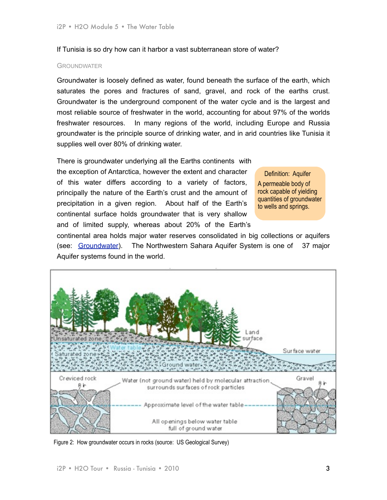If Tunisia is so dry how can it harbor a vast subterranean store of water?

## **GROUNDWATER**

Groundwater is loosely defined as water, found beneath the surface of the earth, which saturates the pores and fractures of sand, gravel, and rock of the earths crust. Groundwater is the underground component of the water cycle and is the largest and most reliable source of freshwater in the world, accounting for about 97% of the worlds freshwater resources. In many regions of the world, including Europe and Russia groundwater is the principle source of drinking water, and in arid countries like Tunisia it supplies well over 80% of drinking water.

There is groundwater underlying all the Earths continents with the exception of Antarctica, however the extent and character of this water differs according to a variety of factors, principally the nature of the Earth's crust and the amount of precipitation in a given region. About half of the Earth's continental surface holds groundwater that is very shallow and of limited supply, whereas about 20% of the Earth's

Definition: Aquifer A permeable body of rock capable of yielding quantities of groundwater to wells and springs.

continental area holds major water reserves consolidated in big collections or aquifers (see: [Groundwater](http://www.yearofplanetearth.org/content/downloads/Groundwater.pdf)). The Northwestern Sahara Aquifer System is one of 37 major Aquifer systems found in the world.



Figure 2: How groundwater occurs in rocks (source: US Geological Survey)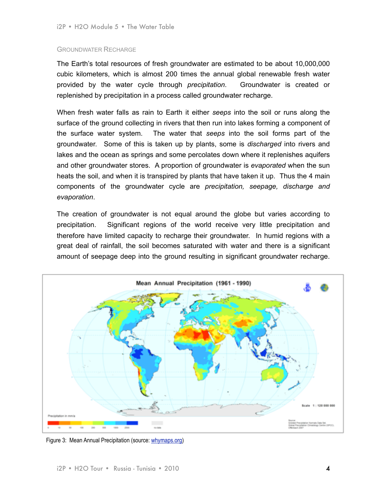## GROUNDWATER RECHARGE

The Earth's total resources of fresh groundwater are estimated to be about 10,000,000 cubic kilometers, which is almost 200 times the annual global renewable fresh water provided by the water cycle through *precipitation*. Groundwater is created or replenished by precipitation in a process called groundwater recharge.

When fresh water falls as rain to Earth it either *seeps* into the soil or runs along the surface of the ground collecting in rivers that then run into lakes forming a component of the surface water system. The water that *seeps* into the soil forms part of the groundwater. Some of this is taken up by plants, some is *discharged* into rivers and lakes and the ocean as springs and some percolates down where it replenishes aquifers and other groundwater stores. A proportion of groundwater is *evaporated* when the sun heats the soil, and when it is transpired by plants that have taken it up. Thus the 4 main components of the groundwater cycle are *precipitation, seepage, discharge and evaporation*.

The creation of groundwater is not equal around the globe but varies according to precipitation. Significant regions of the world receive very little precipitation and therefore have limited capacity to recharge their groundwater. In humid regions with a great deal of rainfall, the soil becomes saturated with water and there is a significant amount of seepage deep into the ground resulting in significant groundwater recharge.



Figure 3: Mean Annual Precipitation (source: [whymaps.org\)](http://www.whymap.org/nn_1055974/whymap/EN/Downloads/Additional__global__maps/precipitation__pdf,templateId=raw,property=publicationFile.pdf/precipitation_pdf.pdf)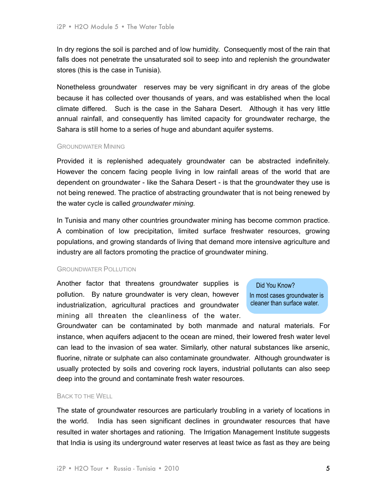In dry regions the soil is parched and of low humidity. Consequently most of the rain that falls does not penetrate the unsaturated soil to seep into and replenish the groundwater stores (this is the case in Tunisia).

Nonetheless groundwater reserves may be very significant in dry areas of the globe because it has collected over thousands of years, and was established when the local climate differed. Such is the case in the Sahara Desert. Although it has very little annual rainfall, and consequently has limited capacity for groundwater recharge, the Sahara is still home to a series of huge and abundant aquifer systems.

#### GROUNDWATER MINING

Provided it is replenished adequately groundwater can be abstracted indefinitely. However the concern facing people living in low rainfall areas of the world that are dependent on groundwater - like the Sahara Desert - is that the groundwater they use is not being renewed. The practice of abstracting groundwater that is not being renewed by the water cycle is called *groundwater mining.*

In Tunisia and many other countries groundwater mining has become common practice. A combination of low precipitation, limited surface freshwater resources, growing populations, and growing standards of living that demand more intensive agriculture and industry are all factors promoting the practice of groundwater mining.

# GROUNDWATER POLLUTION

Another factor that threatens groundwater supplies is pollution. By nature groundwater is very clean, however industrialization, agricultural practices and groundwater mining all threaten the cleanliness of the water.

Did You Know?

In most cases groundwater is cleaner than surface water.

Groundwater can be contaminated by both manmade and natural materials. For instance, when aquifers adjacent to the ocean are mined, their lowered fresh water level can lead to the invasion of sea water. Similarly, other natural substances like arsenic, fluorine, nitrate or sulphate can also contaminate groundwater. Although groundwater is usually protected by soils and covering rock layers, industrial pollutants can also seep deep into the ground and contaminate fresh water resources.

# BACK TO THE WELL

The state of groundwater resources are particularly troubling in a variety of locations in the world. India has seen significant declines in groundwater resources that have resulted in water shortages and rationing. The Irrigation Management Institute suggests that India is using its underground water reserves at least twice as fast as they are being